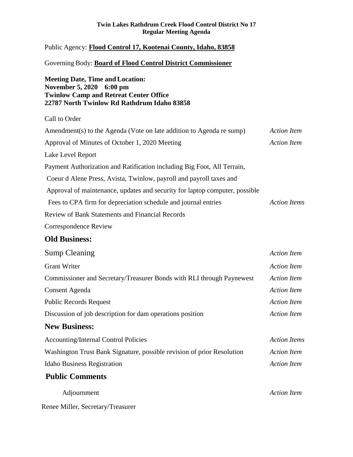#### **Twin Lakes Rathdrum Creek Flood Control District No 17 Regular Meeting Agenda**

## Public Agency: **Flood Control 17, Kootenai County, Idaho, 83858**

#### Governing Body: **Board of Flood Control District Commissioner**

## **Meeting Date, Time andLocation: November 5, 2020 6:00 pm Twinlow Camp and Retreat Center Office 22787 North Twinlow Rd Rathdrum Idaho 83858**

Call to Order Amendment(s) to the Agenda (Vote on late addition to Agenda re sump) *Action Item* Approval of Minutes of October 1, 2020 Meeting *Action Item* Lake Level Report Payment Authorization and Ratification including Big Foot, All Terrain, Coeur d Alene Press, Avista, Twinlow, payroll and payroll taxes and Approval of maintenance, updates and security for laptop computer, possible Fees to CPA firm for depreciation schedule and journal entries *Action Items* Review of Bank Statements and Financial Records Correspondence Review

# **Old Business:**

| <b>Sump Cleaning</b>                                                   | <b>Action Item</b>  |
|------------------------------------------------------------------------|---------------------|
| <b>Grant Writer</b>                                                    | <b>Action Item</b>  |
| Commissioner and Secretary/Treasurer Bonds with RLI through Paynewest  | <b>Action Item</b>  |
| Consent Agenda                                                         | Action Item         |
| <b>Public Records Request</b>                                          | <b>Action Item</b>  |
| Discussion of job description for dam operations position              | <b>Action Item</b>  |
| <b>New Business:</b>                                                   |                     |
| <b>Accounting/Internal Control Policies</b>                            | <b>Action Items</b> |
| Washington Trust Bank Signature, possible revision of prior Resolution | <b>Action Item</b>  |
| <b>Idaho Business Registration</b>                                     | <b>Action Item</b>  |
| <b>Public Comments</b>                                                 |                     |
| Adjournment                                                            | <b>Action Item</b>  |

Renee Miller, Secretary/Treasurer